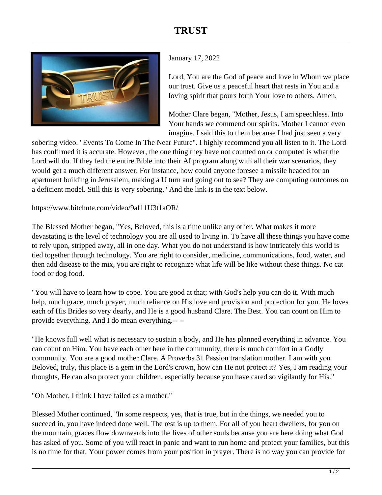## **TRUST**



## January 17, 2022

Lord, You are the God of peace and love in Whom we place our trust. Give us a peaceful heart that rests in You and a loving spirit that pours forth Your love to others. Amen.

Mother Clare began, "Mother, Jesus, I am speechless. Into Your hands we commend our spirits. Mother I cannot even imagine. I said this to them because I had just seen a very

sobering video. "Events To Come In The Near Future". I highly recommend you all listen to it. The Lord has confirmed it is accurate. However, the one thing they have not counted on or computed is what the Lord will do. If they fed the entire Bible into their AI program along with all their war scenarios, they would get a much different answer. For instance, how could anyone foresee a missile headed for an apartment building in Jerusalem, making a U turn and going out to sea? They are computing outcomes on a deficient model. Still this is very sobering." And the link is in the text below.

## https://www.bitchute.com/video/9af11U3t1aOR/

The Blessed Mother began, "Yes, Beloved, this is a time unlike any other. What makes it more devastating is the level of technology you are all used to living in. To have all these things you have come to rely upon, stripped away, all in one day. What you do not understand is how intricately this world is tied together through technology. You are right to consider, medicine, communications, food, water, and then add disease to the mix, you are right to recognize what life will be like without these things. No cat food or dog food.

"You will have to learn how to cope. You are good at that; with God's help you can do it. With much help, much grace, much prayer, much reliance on His love and provision and protection for you. He loves each of His Brides so very dearly, and He is a good husband Clare. The Best. You can count on Him to provide everything. And I do mean everything.-- --

"He knows full well what is necessary to sustain a body, and He has planned everything in advance. You can count on Him. You have each other here in the community, there is much comfort in a Godly community. You are a good mother Clare. A Proverbs 31 Passion translation mother. I am with you Beloved, truly, this place is a gem in the Lord's crown, how can He not protect it? Yes, I am reading your thoughts, He can also protect your children, especially because you have cared so vigilantly for His."

"Oh Mother, I think I have failed as a mother."

Blessed Mother continued, "In some respects, yes, that is true, but in the things, we needed you to succeed in, you have indeed done well. The rest is up to them. For all of you heart dwellers, for you on the mountain, graces flow downwards into the lives of other souls because you are here doing what God has asked of you. Some of you will react in panic and want to run home and protect your families, but this is no time for that. Your power comes from your position in prayer. There is no way you can provide for